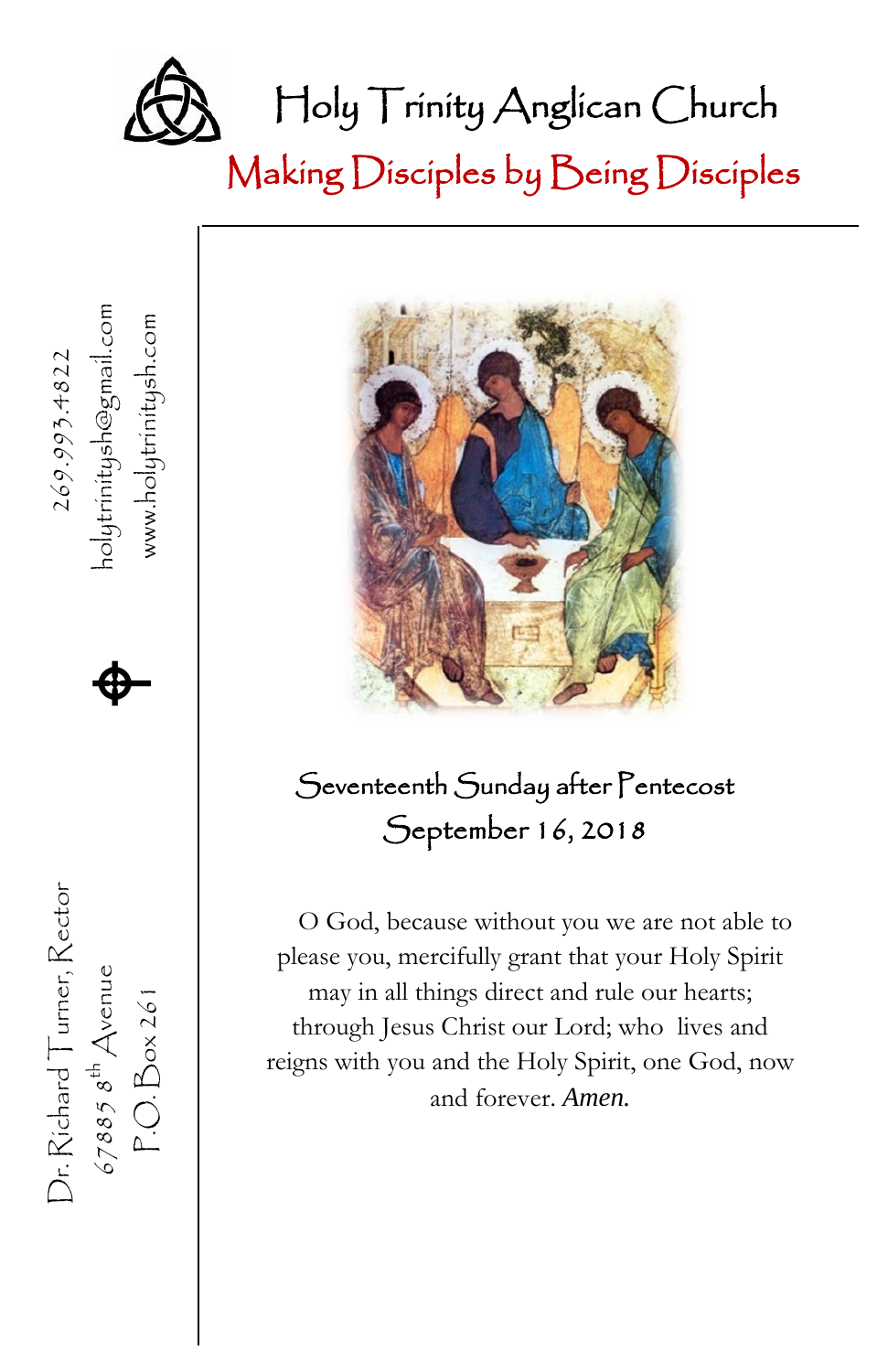

Making Disciples by Being Disciples



、

Dr. Richard Turner, Rector  $269.993.4822$ 

 $\n *Dr. Richard* Turner, Rector\n$ 

 $67885$   $8^{\text{th}}$  Avenue<br>P.O. Box 261

67885  $s^{\text{th}}$  Avenue **A** 

 $\spadesuit$ 

holytrinitysh@gmail.com<br>www.holytrinitysh.com

P.O. Box 261 www.holytrinitysh.com

#### Seventeenth Sunday after Pentecost September 16, 2018

O God, because without you we are not able to please you, mercifully grant that your Holy Spirit may in all things direct and rule our hearts; through Jesus Christ our Lord; who lives and reigns with you and the Holy Spirit, one God, now and forever. *Amen.*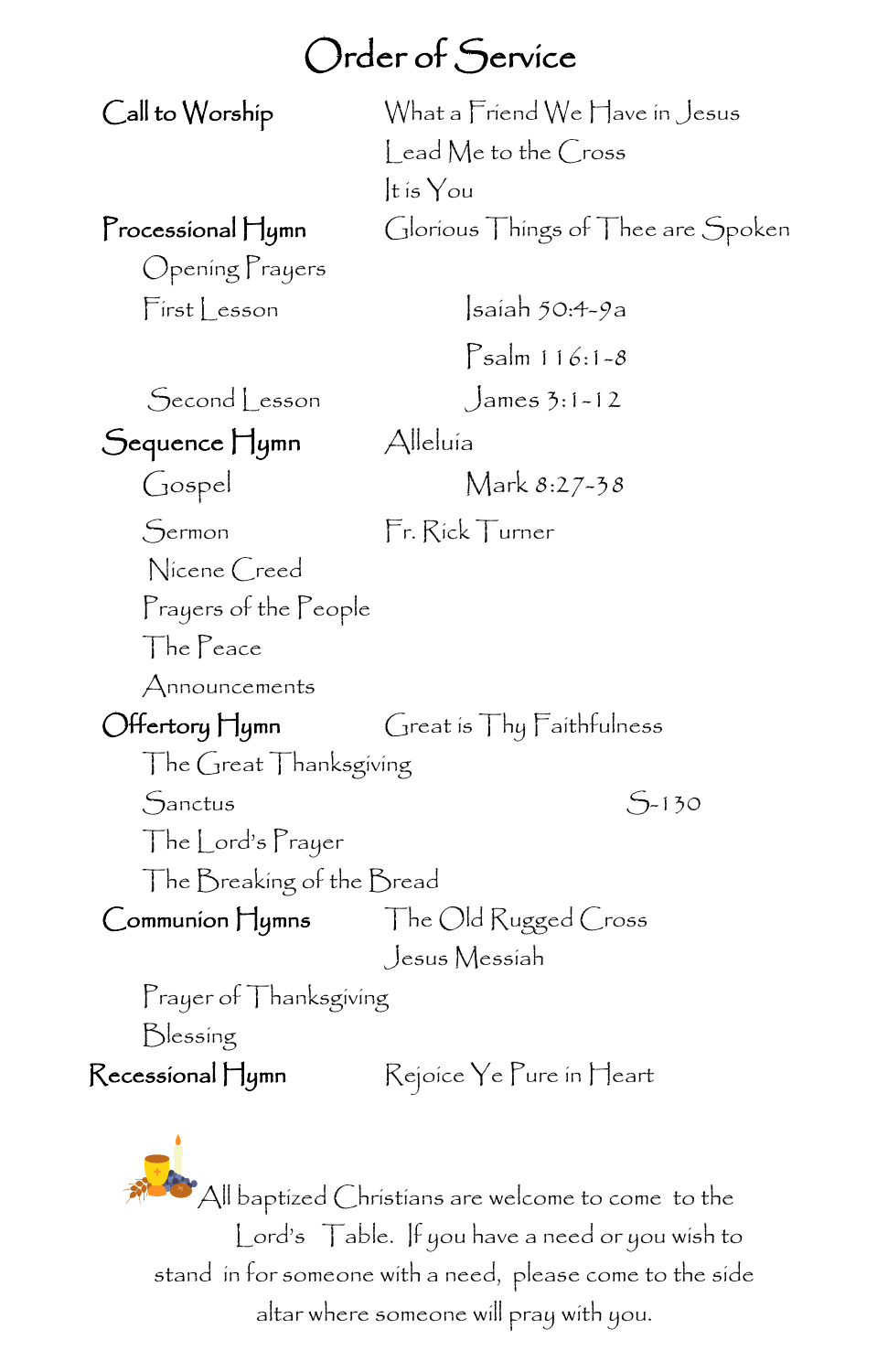#### Order of Service

Call to Worship What a Friend We Have in Jesus Lead Me to the Cross It is You Processional Hymn Glorious Things of Thee are Spoken Opening Prayers First Lesson Isaiah 50:4-9a Psalm 116:1-8 Second Lesson James 3:1-12 Sequence Hymn Alleluía Gospel Mark 8:27-38 Sermon Fr. Rick Turner Nicene Creed Prayers of the People The Peace Announcements Offertory Hymn Great is Thy Faithfulness The Great Thanksgiving  $S<sub>-130</sub>$ The Lord's Prayer The Breaking of the Bread Communion Hymns The Old Rugged Cross Jesus Messiah Prayer of Thanksgiving Blessing Recessional Hymn Rejoice Ye Pure in Heart

 $^{\bullet}$ All baptized Christians are welcome to come to the Lord's Table. If you have a need or you wish to stand in for someone with a need, please come to the side altar where someone will pray with you.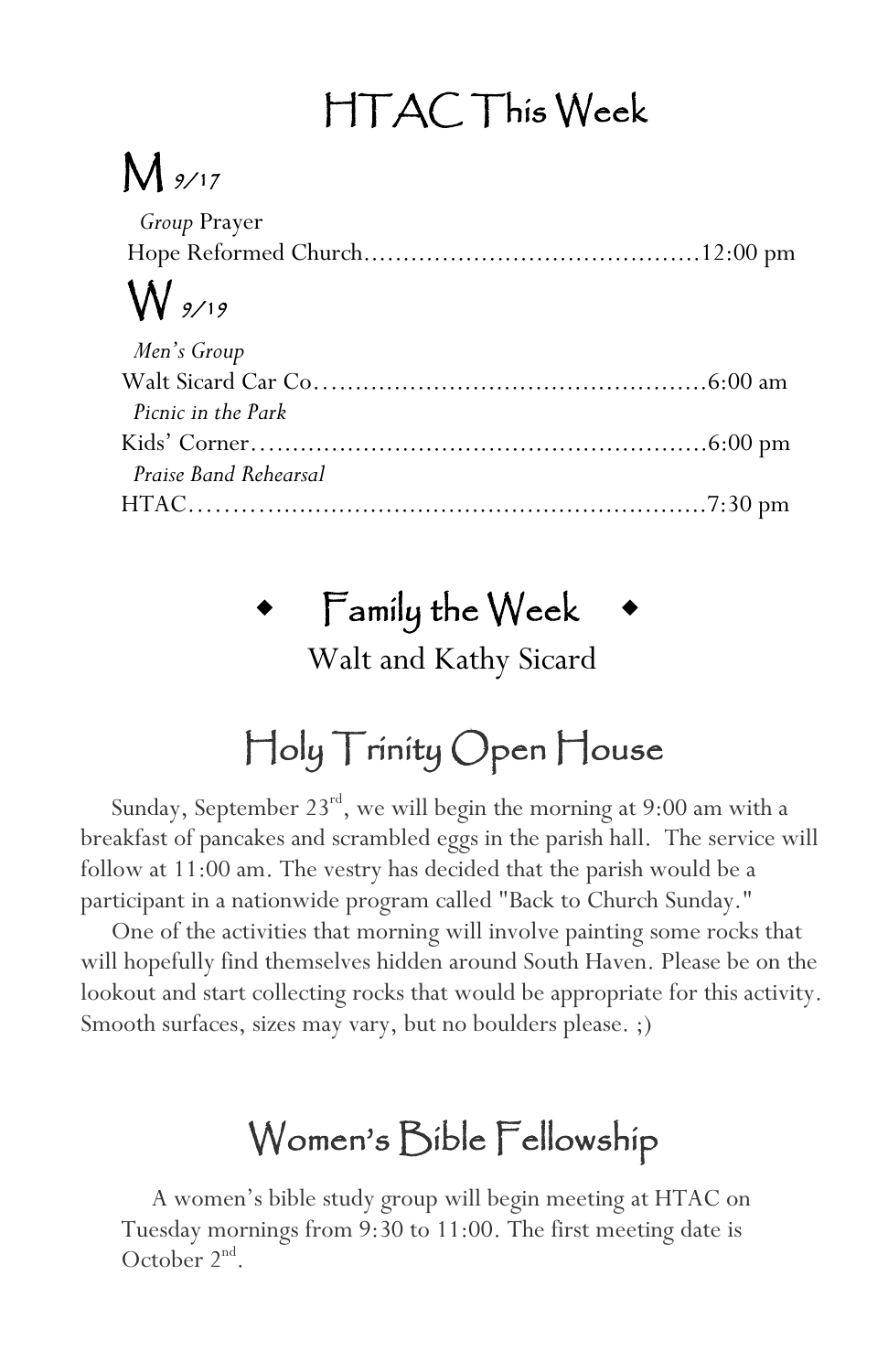# HTAC This Week

## $M_{\frac{9}{17}}$

| <i>Group</i> Prayer |  |
|---------------------|--|
|                     |  |
| $\bigvee$ 9/19      |  |
| $M$ on's Croup      |  |

| Men's Group           |  |
|-----------------------|--|
|                       |  |
| Picnic in the Park    |  |
|                       |  |
| Praise Band Rehearsal |  |
|                       |  |

#### $\bullet$  Family the Week

Walt and Kathy Sicard

### Holy Trinity Open House

Sunday, September 23<sup>rd</sup>, we will begin the morning at 9:00 am with a breakfast of pancakes and scrambled eggs in the parish hall. The service will follow at 11:00 am. The vestry has decided that the parish would be a participant in a nationwide program called "Back to Church Sunday."

 One of the activities that morning will involve painting some rocks that will hopefully find themselves hidden around South Haven. Please be on the lookout and start collecting rocks that would be appropriate for this activity. Smooth surfaces, sizes may vary, but no boulders please. ;)

#### Women's Bible Fellowship

 A women's bible study group will begin meeting at HTAC on Tuesday mornings from 9:30 to 11:00. The first meeting date is October  $2<sup>nd</sup>$ .